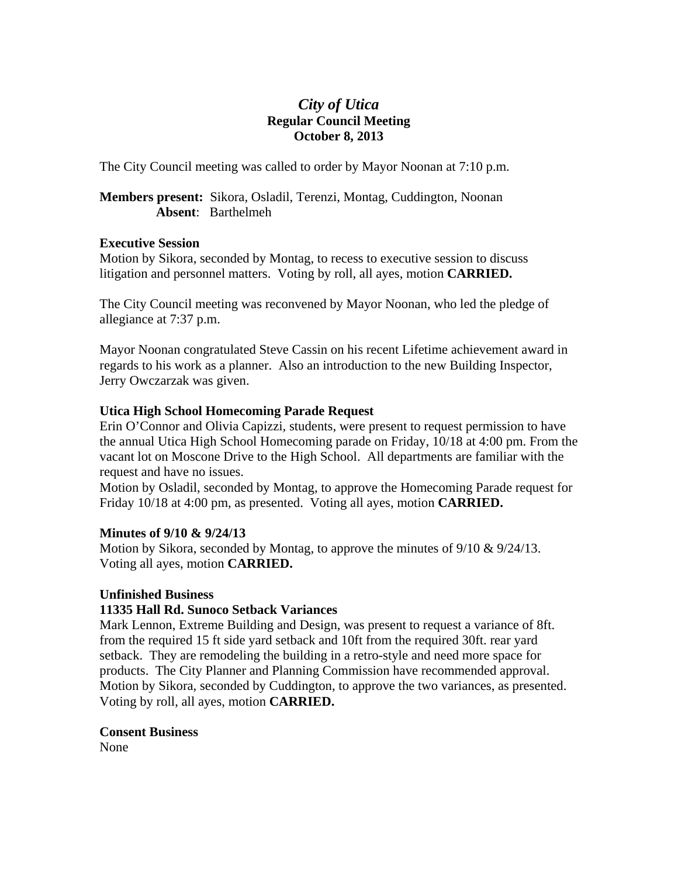# *City of Utica*  **Regular Council Meeting October 8, 2013**

The City Council meeting was called to order by Mayor Noonan at 7:10 p.m.

## **Members present:** Sikora, Osladil, Terenzi, Montag, Cuddington, Noonan **Absent**: Barthelmeh

### **Executive Session**

Motion by Sikora, seconded by Montag, to recess to executive session to discuss litigation and personnel matters. Voting by roll, all ayes, motion **CARRIED.** 

The City Council meeting was reconvened by Mayor Noonan, who led the pledge of allegiance at 7:37 p.m.

Mayor Noonan congratulated Steve Cassin on his recent Lifetime achievement award in regards to his work as a planner. Also an introduction to the new Building Inspector, Jerry Owczarzak was given.

# **Utica High School Homecoming Parade Request**

Erin O'Connor and Olivia Capizzi, students, were present to request permission to have the annual Utica High School Homecoming parade on Friday, 10/18 at 4:00 pm. From the vacant lot on Moscone Drive to the High School. All departments are familiar with the request and have no issues.

Motion by Osladil, seconded by Montag, to approve the Homecoming Parade request for Friday 10/18 at 4:00 pm, as presented. Voting all ayes, motion **CARRIED.** 

# **Minutes of 9/10 & 9/24/13**

Motion by Sikora, seconded by Montag, to approve the minutes of  $9/10 \& 9/24/13$ . Voting all ayes, motion **CARRIED.** 

# **Unfinished Business**

# **11335 Hall Rd. Sunoco Setback Variances**

Mark Lennon, Extreme Building and Design, was present to request a variance of 8ft. from the required 15 ft side yard setback and 10ft from the required 30ft. rear yard setback. They are remodeling the building in a retro-style and need more space for products. The City Planner and Planning Commission have recommended approval. Motion by Sikora, seconded by Cuddington, to approve the two variances, as presented. Voting by roll, all ayes, motion **CARRIED.** 

# **Consent Business**

None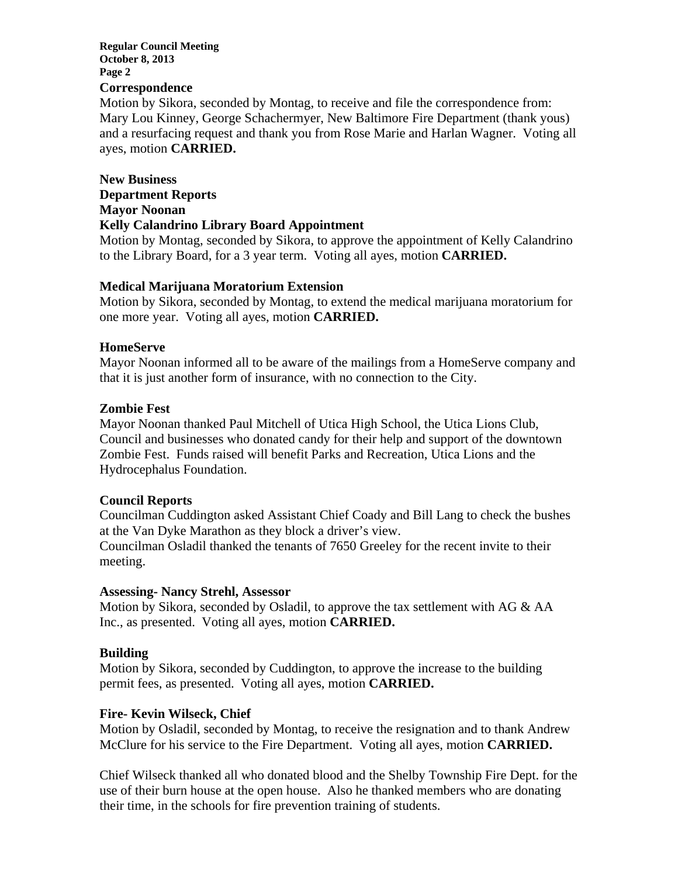#### **Regular Council Meeting October 8, 2013 Page 2**

#### **Correspondence**

Motion by Sikora, seconded by Montag, to receive and file the correspondence from: Mary Lou Kinney, George Schachermyer, New Baltimore Fire Department (thank yous) and a resurfacing request and thank you from Rose Marie and Harlan Wagner. Voting all ayes, motion **CARRIED.** 

# **New Business Department Reports Mayor Noonan Kelly Calandrino Library Board Appointment**

Motion by Montag, seconded by Sikora, to approve the appointment of Kelly Calandrino to the Library Board, for a 3 year term. Voting all ayes, motion **CARRIED.** 

### **Medical Marijuana Moratorium Extension**

Motion by Sikora, seconded by Montag, to extend the medical marijuana moratorium for one more year. Voting all ayes, motion **CARRIED.** 

#### **HomeServe**

Mayor Noonan informed all to be aware of the mailings from a HomeServe company and that it is just another form of insurance, with no connection to the City.

#### **Zombie Fest**

Mayor Noonan thanked Paul Mitchell of Utica High School, the Utica Lions Club, Council and businesses who donated candy for their help and support of the downtown Zombie Fest. Funds raised will benefit Parks and Recreation, Utica Lions and the Hydrocephalus Foundation.

### **Council Reports**

Councilman Cuddington asked Assistant Chief Coady and Bill Lang to check the bushes at the Van Dyke Marathon as they block a driver's view.

Councilman Osladil thanked the tenants of 7650 Greeley for the recent invite to their meeting.

#### **Assessing- Nancy Strehl, Assessor**

Motion by Sikora, seconded by Osladil, to approve the tax settlement with AG & AA Inc., as presented. Voting all ayes, motion **CARRIED.** 

### **Building**

Motion by Sikora, seconded by Cuddington, to approve the increase to the building permit fees, as presented. Voting all ayes, motion **CARRIED.** 

### **Fire- Kevin Wilseck, Chief**

Motion by Osladil, seconded by Montag, to receive the resignation and to thank Andrew McClure for his service to the Fire Department. Voting all ayes, motion **CARRIED.** 

Chief Wilseck thanked all who donated blood and the Shelby Township Fire Dept. for the use of their burn house at the open house. Also he thanked members who are donating their time, in the schools for fire prevention training of students.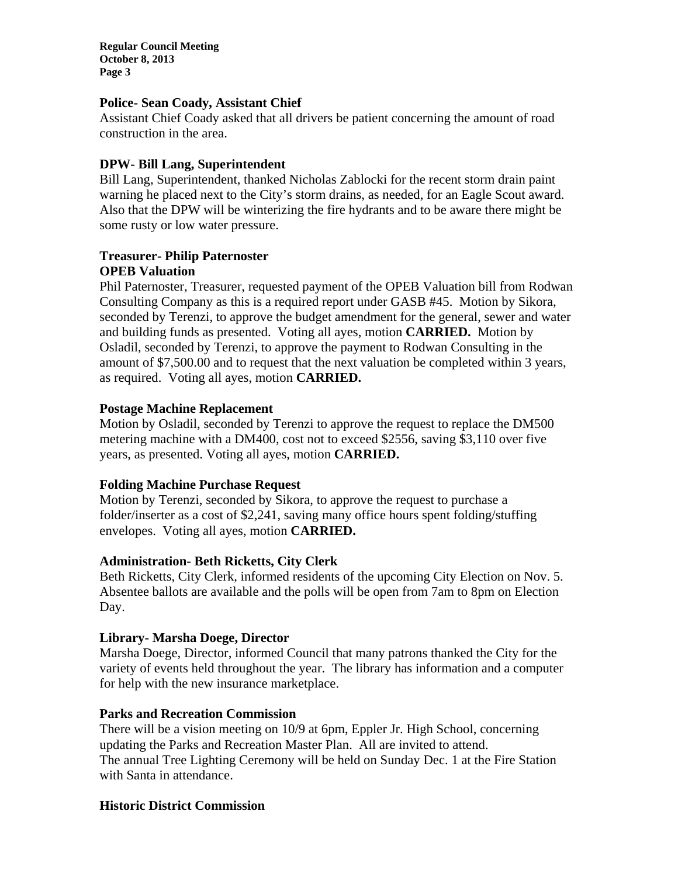**Regular Council Meeting October 8, 2013 Page 3** 

### **Police- Sean Coady, Assistant Chief**

Assistant Chief Coady asked that all drivers be patient concerning the amount of road construction in the area.

### **DPW- Bill Lang, Superintendent**

Bill Lang, Superintendent, thanked Nicholas Zablocki for the recent storm drain paint warning he placed next to the City's storm drains, as needed, for an Eagle Scout award. Also that the DPW will be winterizing the fire hydrants and to be aware there might be some rusty or low water pressure.

## **Treasurer- Philip Paternoster OPEB Valuation**

Phil Paternoster, Treasurer, requested payment of the OPEB Valuation bill from Rodwan Consulting Company as this is a required report under GASB #45. Motion by Sikora, seconded by Terenzi, to approve the budget amendment for the general, sewer and water and building funds as presented. Voting all ayes, motion **CARRIED.** Motion by Osladil, seconded by Terenzi, to approve the payment to Rodwan Consulting in the amount of \$7,500.00 and to request that the next valuation be completed within 3 years, as required. Voting all ayes, motion **CARRIED.** 

### **Postage Machine Replacement**

Motion by Osladil, seconded by Terenzi to approve the request to replace the DM500 metering machine with a DM400, cost not to exceed \$2556, saving \$3,110 over five years, as presented. Voting all ayes, motion **CARRIED.** 

### **Folding Machine Purchase Request**

Motion by Terenzi, seconded by Sikora, to approve the request to purchase a folder/inserter as a cost of \$2,241, saving many office hours spent folding/stuffing envelopes. Voting all ayes, motion **CARRIED.** 

### **Administration- Beth Ricketts, City Clerk**

Beth Ricketts, City Clerk, informed residents of the upcoming City Election on Nov. 5. Absentee ballots are available and the polls will be open from 7am to 8pm on Election Day.

### **Library- Marsha Doege, Director**

Marsha Doege, Director, informed Council that many patrons thanked the City for the variety of events held throughout the year. The library has information and a computer for help with the new insurance marketplace.

### **Parks and Recreation Commission**

There will be a vision meeting on 10/9 at 6pm, Eppler Jr. High School, concerning updating the Parks and Recreation Master Plan. All are invited to attend. The annual Tree Lighting Ceremony will be held on Sunday Dec. 1 at the Fire Station with Santa in attendance.

### **Historic District Commission**